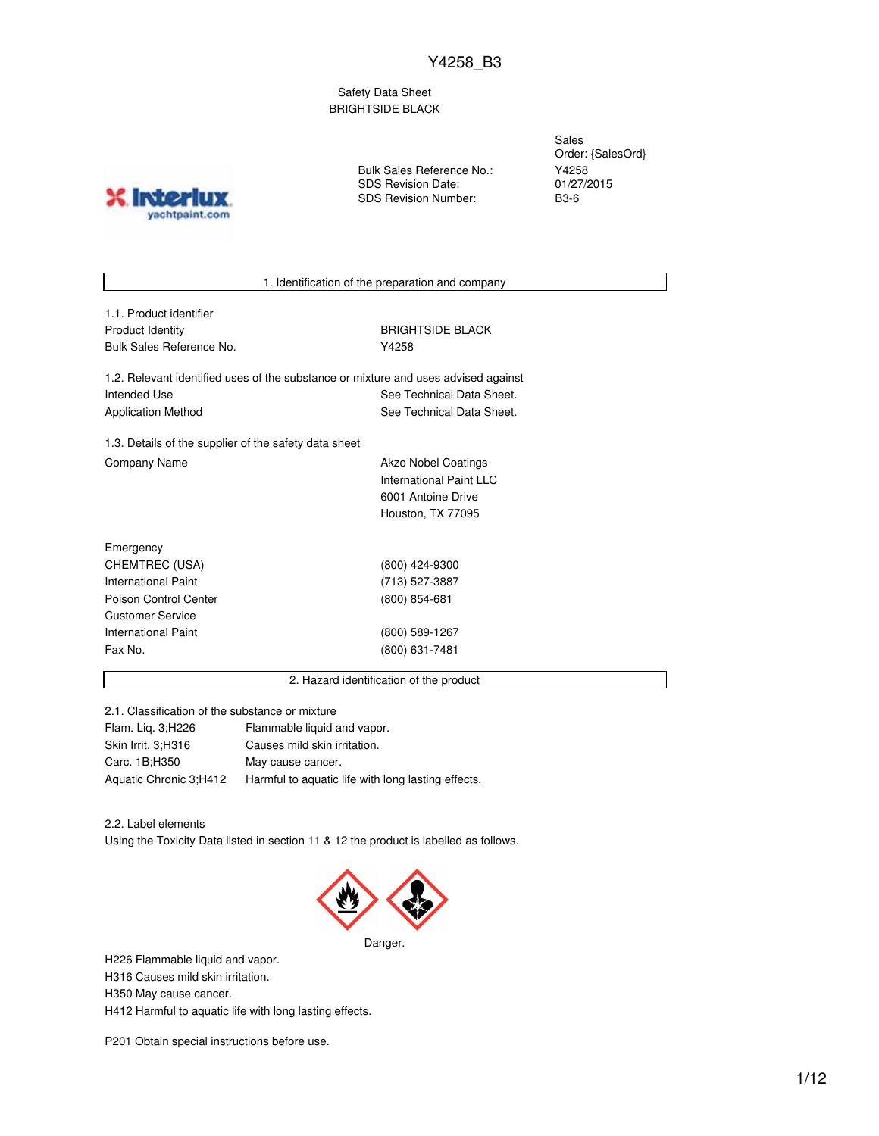Safety Data Sheet BRIGHTSIDE BLACK

**X** Inter yachtpaint.com Bulk Sales Reference No.: SDS Revision Date: SDS Revision Number:

Sales Order: {SalesOrd} Y4258 01/27/2015 B3-6

1. Identification of the preparation and company

1.1. Product identifier Product Identity **BRIGHTSIDE BLACK** Bulk Sales Reference No. **Y4258** 

1.2. Relevant identified uses of the substance or mixture and uses advised against Intended Use **See Technical Data Sheet.** See Technical Data Sheet. Application Method See Technical Data Sheet.

1.3. Details of the supplier of the safety data sheet Company Name **Akzo Nobel Coatings** 

International Paint LLC 6001 Antoine Drive Houston, TX 77095

| Emergency             |                 |
|-----------------------|-----------------|
| CHEMTREC (USA)        | (800) 424-9300  |
| International Paint   | (713) 527-3887  |
| Poison Control Center | $(800)$ 854-681 |
| Customer Service      |                 |
| International Paint   | (800) 589-1267  |
| Fax No.               | (800) 631-7481  |
|                       |                 |

2. Hazard identification of the product

2.1. Classification of the substance or mixture

| Flammable liquid and vapor.                        |
|----------------------------------------------------|
| Causes mild skin irritation.                       |
| May cause cancer.                                  |
| Harmful to aquatic life with long lasting effects. |
|                                                    |

2.2. Label elements

Using the Toxicity Data listed in section 11 & 12 the product is labelled as follows.



H226 Flammable liquid and vapor. H316 Causes mild skin irritation. H350 May cause cancer. H412 Harmful to aquatic life with long lasting effects.

P201 Obtain special instructions before use.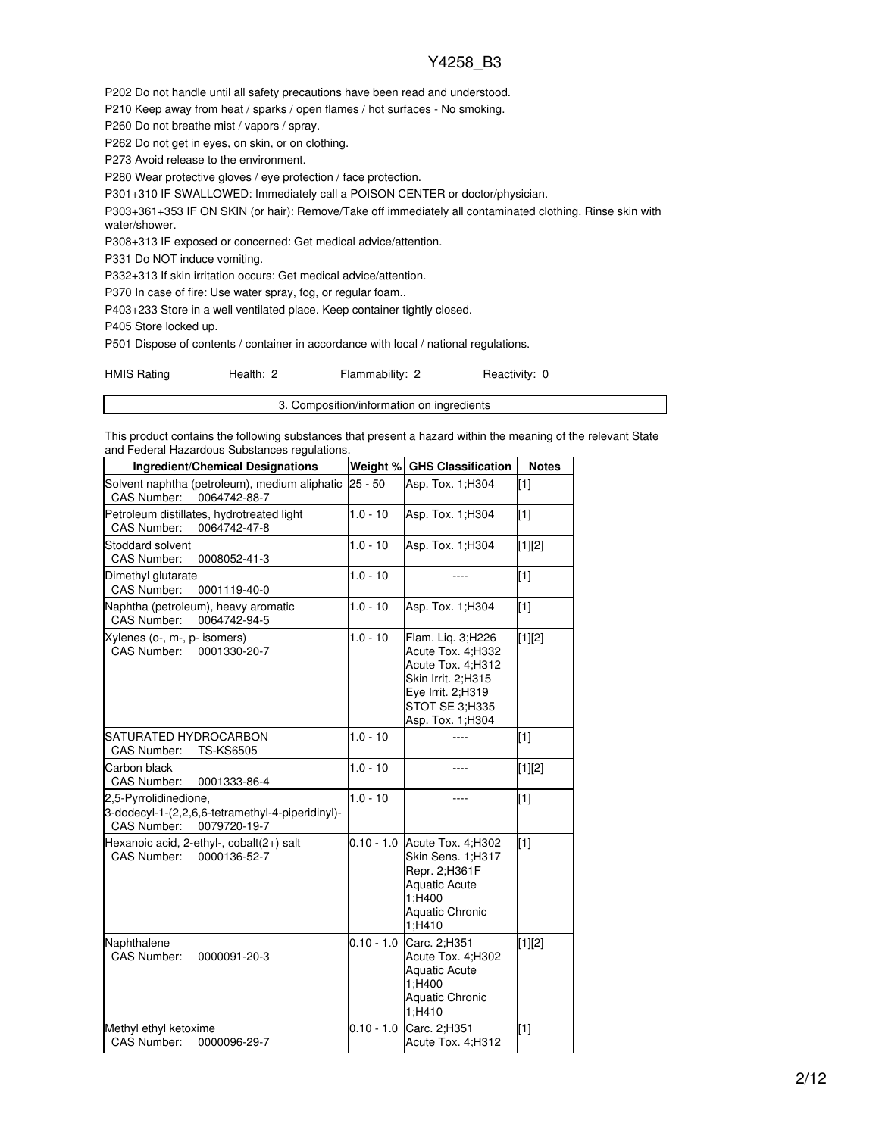P202 Do not handle until all safety precautions have been read and understood.

P210 Keep away from heat / sparks / open flames / hot surfaces - No smoking.

P260 Do not breathe mist / vapors / spray.

P262 Do not get in eyes, on skin, or on clothing.

P273 Avoid release to the environment.

P280 Wear protective gloves / eye protection / face protection.

P301+310 IF SWALLOWED: Immediately call a POISON CENTER or doctor/physician.

P303+361+353 IF ON SKIN (or hair): Remove/Take off immediately all contaminated clothing. Rinse skin with water/shower.

P308+313 IF exposed or concerned: Get medical advice/attention.

P331 Do NOT induce vomiting.

P332+313 If skin irritation occurs: Get medical advice/attention.

P370 In case of fire: Use water spray, fog, or regular foam..

P403+233 Store in a well ventilated place. Keep container tightly closed.

P405 Store locked up.

P501 Dispose of contents / container in accordance with local / national regulations.

| <b>HMIS Rating</b> | Health: 2 | Flammability: 2 | Reactivity: 0 |  |
|--------------------|-----------|-----------------|---------------|--|
|--------------------|-----------|-----------------|---------------|--|

3. Composition/information on ingredients

This product contains the following substances that present a hazard within the meaning of the relevant State and Federal Hazardous Substances regulations.

| <b>Ingredient/Chemical Designations</b>                                                                  |              | Weight % GHS Classification                                                                                                                  | <b>Notes</b> |
|----------------------------------------------------------------------------------------------------------|--------------|----------------------------------------------------------------------------------------------------------------------------------------------|--------------|
| Solvent naphtha (petroleum), medium aliphatic<br><b>CAS Number:</b><br>0064742-88-7                      | $25 - 50$    | Asp. Tox. 1:H304                                                                                                                             | [1]          |
| Petroleum distillates, hydrotreated light<br>CAS Number:<br>0064742-47-8                                 | $1.0 - 10$   | Asp. Tox. 1;H304                                                                                                                             | [1]          |
| Stoddard solvent<br>CAS Number:<br>0008052-41-3                                                          | $1.0 - 10$   | Asp. Tox. 1;H304                                                                                                                             | [1][2]       |
| Dimethyl glutarate<br>CAS Number:<br>0001119-40-0                                                        | $1.0 - 10$   |                                                                                                                                              | [1]          |
| Naphtha (petroleum), heavy aromatic<br>CAS Number:<br>0064742-94-5                                       | $1.0 - 10$   | Asp. Tox. 1; H304                                                                                                                            | [1]          |
| Xylenes (o-, m-, p- isomers)<br><b>CAS Number:</b><br>0001330-20-7                                       | $1.0 - 10$   | Flam. Liq. 3;H226<br>Acute Tox. 4;H332<br>Acute Tox. 4:H312<br>Skin Irrit. 2;H315<br>Eye Irrit. 2;H319<br>STOT SE 3:H335<br>Asp. Tox. 1;H304 | [1][2]       |
| SATURATED HYDROCARBON<br><b>TS-KS6505</b><br>CAS Number:                                                 | $1.0 - 10$   |                                                                                                                                              | $[1]$        |
| Carbon black<br>CAS Number:<br>0001333-86-4                                                              | $1.0 - 10$   | ----                                                                                                                                         | $[1][2]$     |
| 2,5-Pyrrolidinedione,<br>3-dodecyl-1-(2,2,6,6-tetramethyl-4-piperidinyl)-<br>CAS Number:<br>0079720-19-7 | $1.0 - 10$   |                                                                                                                                              | [1]          |
| Hexanoic acid, 2-ethyl-, cobalt(2+) salt<br>0000136-52-7<br><b>CAS Number:</b>                           | $0.10 - 1.0$ | Acute Tox. 4; H302<br>Skin Sens. 1;H317<br>Repr. 2;H361F<br><b>Aquatic Acute</b><br>1;H400<br><b>Aquatic Chronic</b><br>1:H410               | $[1]$        |
| Naphthalene<br><b>CAS Number:</b><br>0000091-20-3                                                        | $0.10 - 1.0$ | Carc. 2:H351<br>Acute Tox. 4;H302<br><b>Aquatic Acute</b><br>1;H400<br><b>Aquatic Chronic</b><br>1;H410                                      | $[1][2]$     |
| Methyl ethyl ketoxime<br>CAS Number:<br>0000096-29-7                                                     | $0.10 - 1.0$ | Carc. 2:H351<br>Acute Tox. 4;H312                                                                                                            | $[1]$        |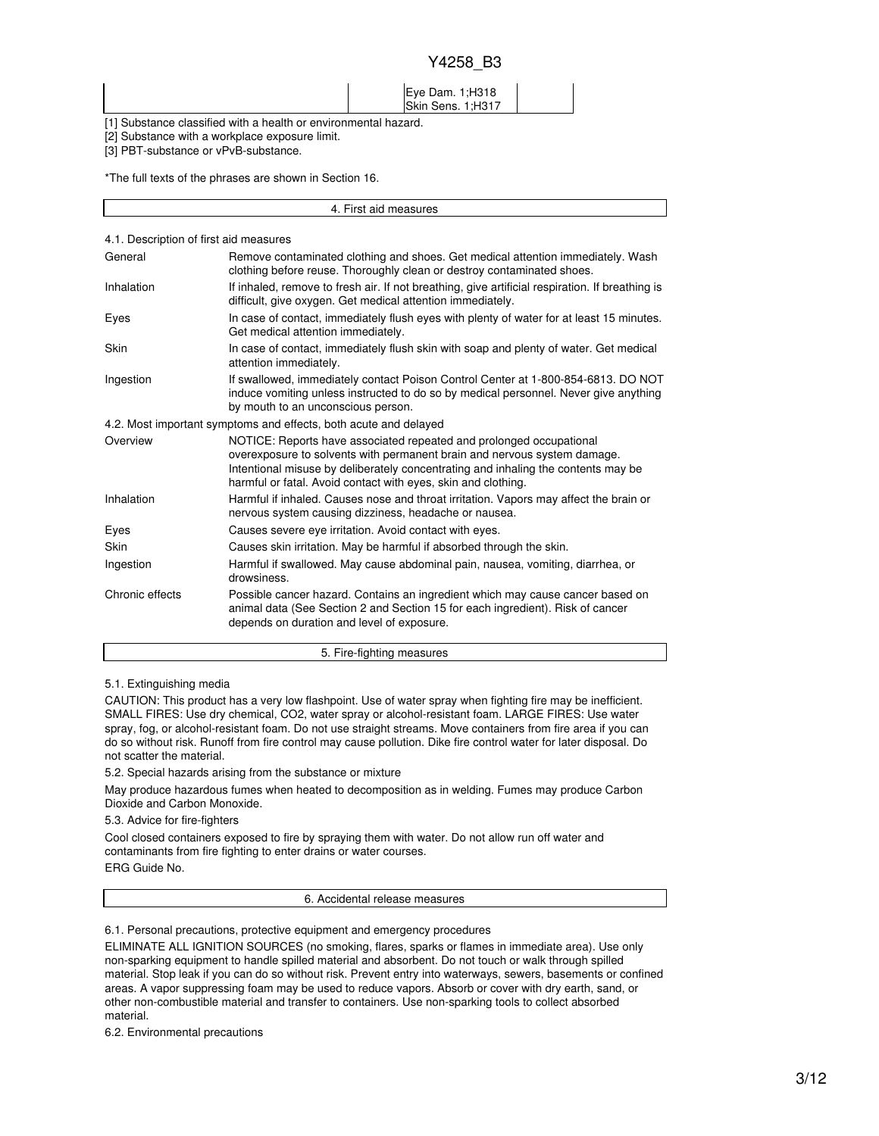#### Eye Dam. 1;H318 Skin Sens. 1;H317

[1] Substance classified with a health or environmental hazard.

[2] Substance with a workplace exposure limit.

[3] PBT-substance or vPvB-substance.

\*The full texts of the phrases are shown in Section 16.

| 4.1. Description of first aid measures |                                                                                                                                                                                                                                                                                                       |
|----------------------------------------|-------------------------------------------------------------------------------------------------------------------------------------------------------------------------------------------------------------------------------------------------------------------------------------------------------|
| General                                | Remove contaminated clothing and shoes. Get medical attention immediately. Wash<br>clothing before reuse. Thoroughly clean or destroy contaminated shoes.                                                                                                                                             |
| Inhalation                             | If inhaled, remove to fresh air. If not breathing, give artificial respiration. If breathing is<br>difficult, give oxygen. Get medical attention immediately.                                                                                                                                         |
| Eyes                                   | In case of contact, immediately flush eyes with plenty of water for at least 15 minutes.<br>Get medical attention immediately.                                                                                                                                                                        |
| Skin                                   | In case of contact, immediately flush skin with soap and plenty of water. Get medical<br>attention immediately.                                                                                                                                                                                       |
| Ingestion                              | If swallowed, immediately contact Poison Control Center at 1-800-854-6813. DO NOT<br>induce vomiting unless instructed to do so by medical personnel. Never give anything<br>by mouth to an unconscious person.                                                                                       |
|                                        | 4.2. Most important symptoms and effects, both acute and delayed                                                                                                                                                                                                                                      |
| Overview                               | NOTICE: Reports have associated repeated and prolonged occupational<br>overexposure to solvents with permanent brain and nervous system damage.<br>Intentional misuse by deliberately concentrating and inhaling the contents may be<br>harmful or fatal. Avoid contact with eyes, skin and clothing. |
| Inhalation                             | Harmful if inhaled. Causes nose and throat irritation. Vapors may affect the brain or<br>nervous system causing dizziness, headache or nausea.                                                                                                                                                        |
| Eyes                                   | Causes severe eye irritation. Avoid contact with eyes.                                                                                                                                                                                                                                                |
| Skin                                   | Causes skin irritation. May be harmful if absorbed through the skin.                                                                                                                                                                                                                                  |
| Ingestion                              | Harmful if swallowed. May cause abdominal pain, nausea, vomiting, diarrhea, or<br>drowsiness.                                                                                                                                                                                                         |
| Chronic effects                        | Possible cancer hazard. Contains an ingredient which may cause cancer based on<br>animal data (See Section 2 and Section 15 for each ingredient). Risk of cancer<br>depends on duration and level of exposure.                                                                                        |
|                                        | 5. Fire-fighting measures                                                                                                                                                                                                                                                                             |

4. First aid measures

5.1. Extinguishing media

CAUTION: This product has a very low flashpoint. Use of water spray when fighting fire may be inefficient. SMALL FIRES: Use dry chemical, CO2, water spray or alcohol-resistant foam. LARGE FIRES: Use water spray, fog, or alcohol-resistant foam. Do not use straight streams. Move containers from fire area if you can do so without risk. Runoff from fire control may cause pollution. Dike fire control water for later disposal. Do not scatter the material.

5.2. Special hazards arising from the substance or mixture

May produce hazardous fumes when heated to decomposition as in welding. Fumes may produce Carbon Dioxide and Carbon Monoxide.

5.3. Advice for fire-fighters

Cool closed containers exposed to fire by spraying them with water. Do not allow run off water and contaminants from fire fighting to enter drains or water courses.

ERG Guide No.

6. Accidental release measures

6.1. Personal precautions, protective equipment and emergency procedures

ELIMINATE ALL IGNITION SOURCES (no smoking, flares, sparks or flames in immediate area). Use only non-sparking equipment to handle spilled material and absorbent. Do not touch or walk through spilled material. Stop leak if you can do so without risk. Prevent entry into waterways, sewers, basements or confined areas. A vapor suppressing foam may be used to reduce vapors. Absorb or cover with dry earth, sand, or other non-combustible material and transfer to containers. Use non-sparking tools to collect absorbed material.

6.2. Environmental precautions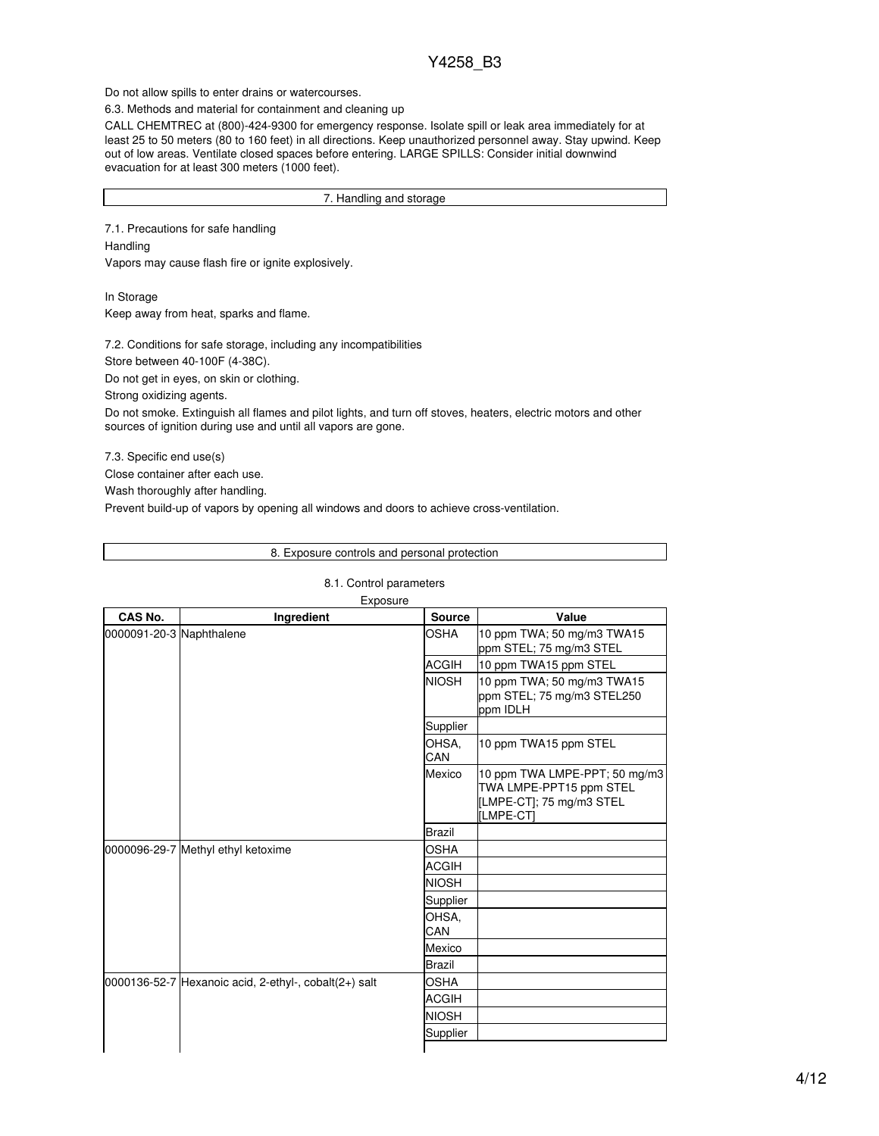Do not allow spills to enter drains or watercourses.

6.3. Methods and material for containment and cleaning up

CALL CHEMTREC at (800)-424-9300 for emergency response. Isolate spill or leak area immediately for at least 25 to 50 meters (80 to 160 feet) in all directions. Keep unauthorized personnel away. Stay upwind. Keep out of low areas. Ventilate closed spaces before entering. LARGE SPILLS: Consider initial downwind evacuation for at least 300 meters (1000 feet).

#### 7. Handling and storage

7.1. Precautions for safe handling Handling Vapors may cause flash fire or ignite explosively.

In Storage Keep away from heat, sparks and flame.

7.2. Conditions for safe storage, including any incompatibilities

Store between 40-100F (4-38C).

Do not get in eyes, on skin or clothing.

Strong oxidizing agents.

Do not smoke. Extinguish all flames and pilot lights, and turn off stoves, heaters, electric motors and other sources of ignition during use and until all vapors are gone.

7.3. Specific end use(s)

Close container after each use.

Wash thoroughly after handling.

Prevent build-up of vapors by opening all windows and doors to achieve cross-ventilation.

8. Exposure controls and personal protection

| CAS No.                  | Ingredient                                              | <b>Source</b> | Value                                                                                             |
|--------------------------|---------------------------------------------------------|---------------|---------------------------------------------------------------------------------------------------|
| 0000091-20-3 Naphthalene |                                                         | <b>OSHA</b>   | 10 ppm TWA; 50 mg/m3 TWA15<br>ppm STEL; 75 mg/m3 STEL                                             |
|                          |                                                         | <b>ACGIH</b>  | 10 ppm TWA15 ppm STEL                                                                             |
|                          |                                                         | <b>NIOSH</b>  | 10 ppm TWA; 50 mg/m3 TWA15<br>ppm STEL; 75 mg/m3 STEL250<br>ppm IDLH                              |
|                          |                                                         | Supplier      |                                                                                                   |
|                          |                                                         | OHSA.<br>CAN  | 10 ppm TWA15 ppm STEL                                                                             |
|                          |                                                         | Mexico        | 10 ppm TWA LMPE-PPT; 50 mg/m3<br>TWA LMPE-PPT15 ppm STEL<br>[LMPE-CT]; 75 mg/m3 STEL<br>[LMPE-CT] |
|                          |                                                         | <b>Brazil</b> |                                                                                                   |
|                          | 0000096-29-7 Methyl ethyl ketoxime                      | <b>OSHA</b>   |                                                                                                   |
|                          |                                                         | <b>ACGIH</b>  |                                                                                                   |
|                          |                                                         | <b>NIOSH</b>  |                                                                                                   |
|                          |                                                         | Supplier      |                                                                                                   |
|                          |                                                         | OHSA.<br>CAN  |                                                                                                   |
|                          |                                                         | Mexico        |                                                                                                   |
|                          |                                                         | <b>Brazil</b> |                                                                                                   |
|                          | $0000136-52-7$ Hexanoic acid, 2-ethyl-, cobalt(2+) salt | OSHA          |                                                                                                   |
|                          |                                                         | <b>ACGIH</b>  |                                                                                                   |
|                          |                                                         | <b>NIOSH</b>  |                                                                                                   |
|                          |                                                         | Supplier      |                                                                                                   |

## 8.1. Control parameters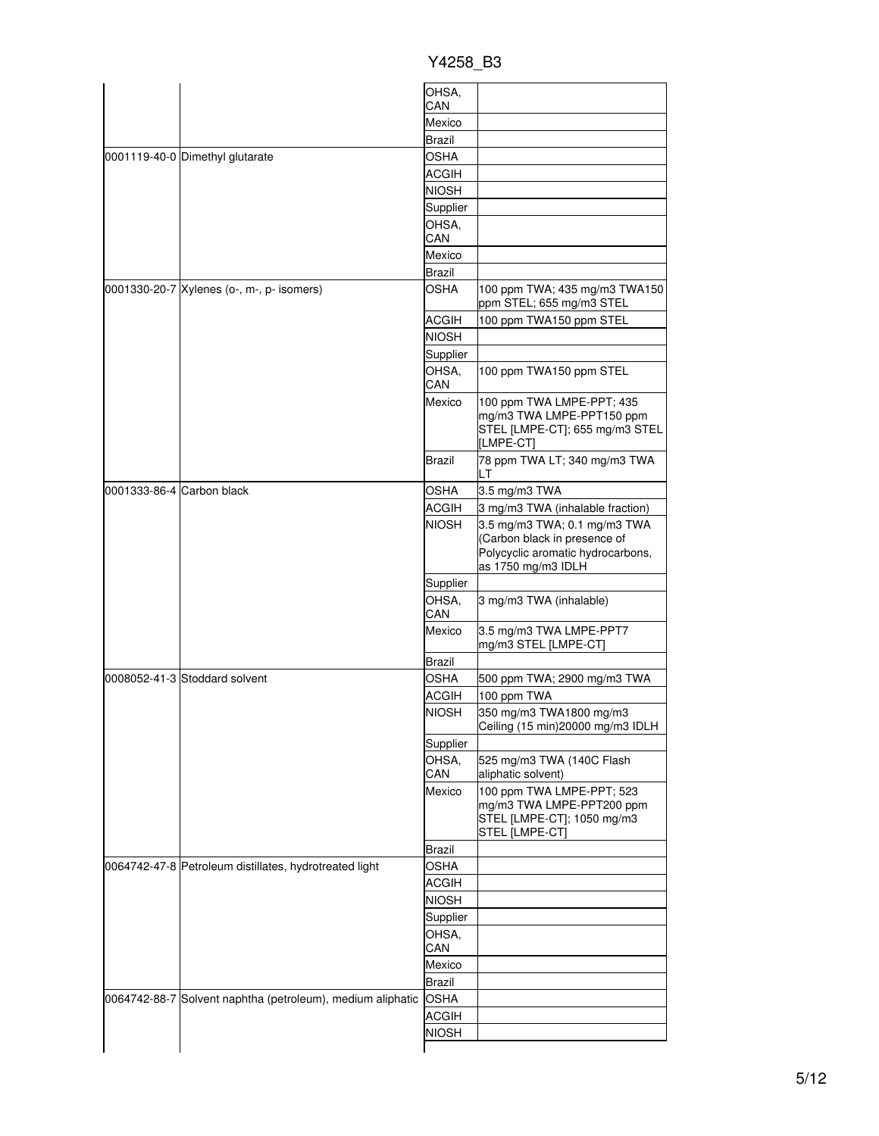|                                                            | OHSA,                        |                                                                                                                         |
|------------------------------------------------------------|------------------------------|-------------------------------------------------------------------------------------------------------------------------|
|                                                            | CAN                          |                                                                                                                         |
|                                                            | Mexico                       |                                                                                                                         |
|                                                            | <b>Brazil</b>                |                                                                                                                         |
| 0001119-40-0 Dimethyl glutarate                            | <b>OSHA</b>                  |                                                                                                                         |
|                                                            | <b>ACGIH</b>                 |                                                                                                                         |
|                                                            | <b>NIOSH</b>                 |                                                                                                                         |
|                                                            | Supplier                     |                                                                                                                         |
|                                                            | OHSA.<br>CAN                 |                                                                                                                         |
|                                                            | Mexico                       |                                                                                                                         |
|                                                            | Brazil                       |                                                                                                                         |
| 0001330-20-7 Xylenes (o-, m-, p- isomers)                  | OSHA                         | 100 ppm TWA; 435 mg/m3 TWA150<br>ppm STEL; 655 mg/m3 STEL                                                               |
|                                                            | ACGIH                        | 100 ppm TWA150 ppm STEL                                                                                                 |
|                                                            | <b>NIOSH</b>                 |                                                                                                                         |
|                                                            | Supplier                     |                                                                                                                         |
|                                                            | OHSA.                        | 100 ppm TWA150 ppm STEL                                                                                                 |
|                                                            | CAN                          |                                                                                                                         |
|                                                            | Mexico                       | 100 ppm TWA LMPE-PPT; 435<br>mg/m3 TWA LMPE-PPT150 ppm<br>STEL [LMPE-CT]; 655 mg/m3 STEL<br>[LMPE-CT]                   |
|                                                            | Brazil                       | 78 ppm TWA LT; 340 mg/m3 TWA<br>LТ                                                                                      |
| 0001333-86-4 Carbon black                                  | OSHA                         | 3.5 mg/m3 TWA                                                                                                           |
|                                                            | <b>ACGIH</b>                 | 3 mg/m3 TWA (inhalable fraction)                                                                                        |
|                                                            | <b>NIOSH</b>                 | 3.5 mg/m3 TWA; 0.1 mg/m3 TWA<br>(Carbon black in presence of<br>Polycyclic aromatic hydrocarbons,<br>as 1750 mg/m3 IDLH |
|                                                            | Supplier                     |                                                                                                                         |
|                                                            | OHSA,<br>CAN                 | 3 mg/m3 TWA (inhalable)                                                                                                 |
|                                                            | Mexico                       | 3.5 mg/m3 TWA LMPE-PPT7<br>mg/m3 STEL [LMPE-CT]                                                                         |
|                                                            | Brazil                       |                                                                                                                         |
| 0008052-41-3 Stoddard solvent                              | OSHA                         | 500 ppm TWA; 2900 mg/m3 TWA                                                                                             |
|                                                            | ACGIH                        | 100 ppm TWA                                                                                                             |
|                                                            | <b>NIOSH</b>                 | 350 mg/m3 TWA1800 mg/m3<br>Ceiling (15 min) 20000 mg/m3 IDLH                                                            |
|                                                            | Supplier                     |                                                                                                                         |
|                                                            | OHSA,<br>CAN                 | 525 mg/m3 TWA (140C Flash                                                                                               |
|                                                            | Mexico                       | aliphatic solvent)<br>100 ppm TWA LMPE-PPT; 523<br>mg/m3 TWA LMPE-PPT200 ppm                                            |
|                                                            |                              | STEL [LMPE-CT]; 1050 mg/m3<br>STEL [LMPE-CT]                                                                            |
|                                                            | Brazil                       |                                                                                                                         |
| 0064742-47-8 Petroleum distillates, hydrotreated light     | OSHA                         |                                                                                                                         |
|                                                            | ACGIH                        |                                                                                                                         |
|                                                            | <b>NIOSH</b>                 |                                                                                                                         |
|                                                            | Supplier                     |                                                                                                                         |
|                                                            | OHSA,                        |                                                                                                                         |
|                                                            |                              |                                                                                                                         |
|                                                            | CAN                          |                                                                                                                         |
|                                                            | Mexico                       |                                                                                                                         |
|                                                            | <b>Brazil</b>                |                                                                                                                         |
| 0064742-88-7 Solvent naphtha (petroleum), medium aliphatic | <b>OSHA</b>                  |                                                                                                                         |
|                                                            | <b>ACGIH</b><br><b>NIOSH</b> |                                                                                                                         |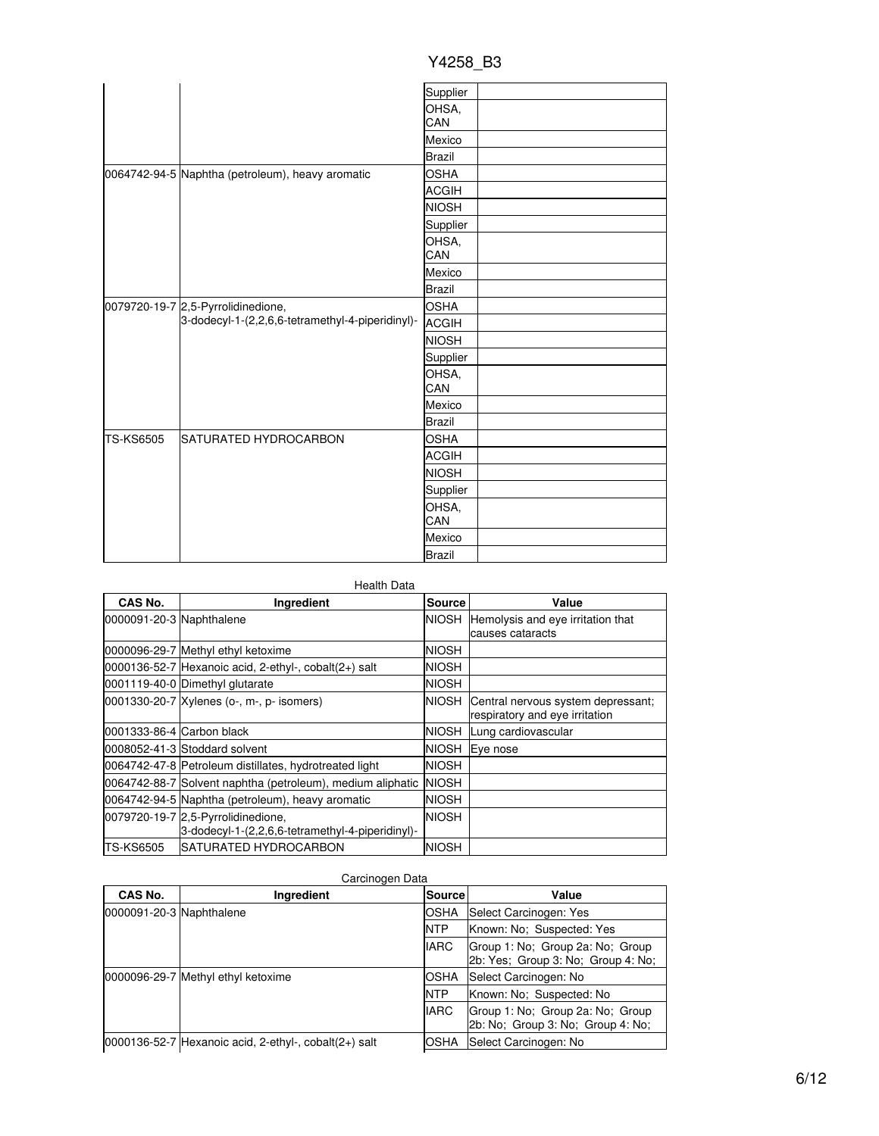|                  |                                                                                        | Supplier      |  |
|------------------|----------------------------------------------------------------------------------------|---------------|--|
|                  |                                                                                        | OHSA,<br>CAN  |  |
|                  |                                                                                        | Mexico        |  |
|                  |                                                                                        | <b>Brazil</b> |  |
|                  | 0064742-94-5 Naphtha (petroleum), heavy aromatic                                       | <b>OSHA</b>   |  |
|                  |                                                                                        | <b>ACGIH</b>  |  |
|                  |                                                                                        | <b>NIOSH</b>  |  |
|                  |                                                                                        | Supplier      |  |
|                  |                                                                                        | OHSA,<br>CAN  |  |
|                  |                                                                                        | Mexico        |  |
|                  |                                                                                        | <b>Brazil</b> |  |
|                  | 0079720-19-7 2,5-Pyrrolidinedione,<br>3-dodecyl-1-(2,2,6,6-tetramethyl-4-piperidinyl)- | <b>OSHA</b>   |  |
|                  |                                                                                        | <b>ACGIH</b>  |  |
|                  |                                                                                        | <b>NIOSH</b>  |  |
|                  |                                                                                        | Supplier      |  |
|                  |                                                                                        | OHSA,<br>CAN  |  |
|                  |                                                                                        | Mexico        |  |
|                  |                                                                                        | <b>Brazil</b> |  |
| <b>TS-KS6505</b> | SATURATED HYDROCARBON                                                                  | <b>OSHA</b>   |  |
|                  |                                                                                        | <b>ACGIH</b>  |  |
|                  |                                                                                        | <b>NIOSH</b>  |  |
|                  |                                                                                        | Supplier      |  |
|                  |                                                                                        | OHSA,<br>CAN  |  |
|                  |                                                                                        | Mexico        |  |
|                  |                                                                                        | <b>Brazil</b> |  |

| Y4258 B3 |  |
|----------|--|
|          |  |

| Health Data               |                                                                                        |              |                                                                      |  |
|---------------------------|----------------------------------------------------------------------------------------|--------------|----------------------------------------------------------------------|--|
| CAS No.                   | Ingredient                                                                             | Source       | Value                                                                |  |
| 0000091-20-3 Naphthalene  |                                                                                        |              | NIOSH Hemolysis and eye irritation that<br>causes cataracts          |  |
|                           | 0000096-29-7 Methyl ethyl ketoxime                                                     | <b>NIOSH</b> |                                                                      |  |
|                           | $ 0000136-52-7 $ Hexanoic acid, 2-ethyl-, cobalt $(2+)$ salt                           | <b>NIOSH</b> |                                                                      |  |
|                           | 0001119-40-0 Dimethyl glutarate                                                        | <b>NIOSH</b> |                                                                      |  |
|                           | 0001330-20-7 Xylenes (o-, m-, p- isomers)                                              | NIOSH.       | Central nervous system depressant;<br>respiratory and eye irritation |  |
| 0001333-86-4 Carbon black |                                                                                        | <b>NIOSH</b> | Lung cardiovascular                                                  |  |
|                           | 0008052-41-3 Stoddard solvent                                                          | <b>NIOSH</b> | Eye nose                                                             |  |
|                           | 0064742-47-8 Petroleum distillates, hydrotreated light                                 | <b>NIOSH</b> |                                                                      |  |
|                           | 0064742-88-7 Solvent naphtha (petroleum), medium aliphatic                             | <b>NIOSH</b> |                                                                      |  |
|                           | 0064742-94-5 Naphtha (petroleum), heavy aromatic                                       | <b>NIOSH</b> |                                                                      |  |
|                           | 0079720-19-7 2,5-Pyrrolidinedione,<br>3-dodecyl-1-(2,2,6,6-tetramethyl-4-piperidinyl)- | <b>NIOSH</b> |                                                                      |  |
| TS-KS6505                 | ISATURATED HYDROCARBON                                                                 | <b>NIOSH</b> |                                                                      |  |

### Carcinogen Data

| CAS No.                  | Ingredient                                                   | <b>Source</b> l | Value                                                                  |
|--------------------------|--------------------------------------------------------------|-----------------|------------------------------------------------------------------------|
| 0000091-20-3 Naphthalene |                                                              | <b>OSHA</b>     | Select Carcinogen: Yes                                                 |
|                          |                                                              | <b>NTP</b>      | Known: No: Suspected: Yes                                              |
|                          |                                                              | <b>IARC</b>     | Group 1: No; Group 2a: No; Group<br>2b: Yes: Group 3: No: Group 4: No: |
|                          | 0000096-29-7 Methyl ethyl ketoxime                           | OSHA            | Select Carcinogen: No                                                  |
|                          |                                                              | <b>NTP</b>      | Known: No: Suspected: No                                               |
|                          |                                                              | <b>IARC</b>     | Group 1: No: Group 2a: No: Group<br>2b: No; Group 3: No; Group 4: No;  |
|                          | $[0000136-52-7]$ Hexanoic acid, 2-ethyl-, cobalt $(2+)$ salt | OSHA            | Select Carcinogen: No                                                  |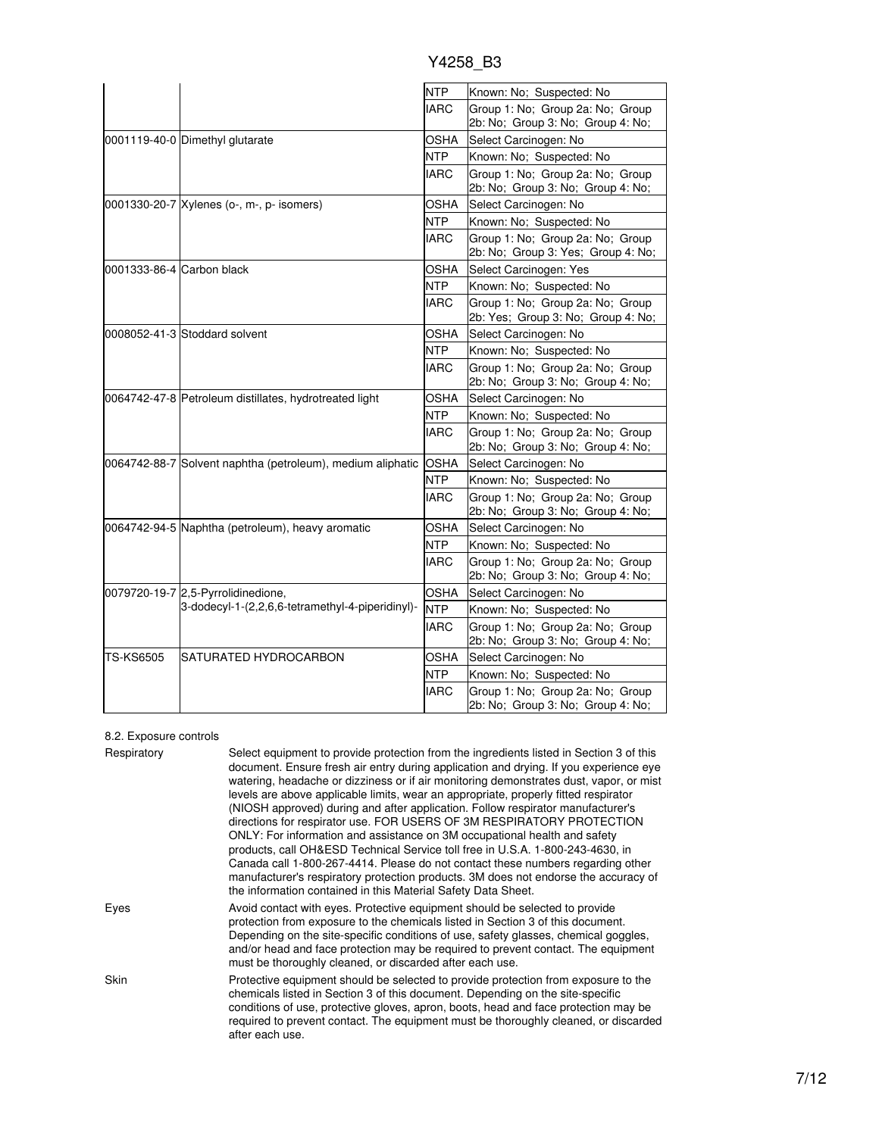|                           |                                                            | <b>NTP</b>  | Known: No; Suspected: No                                               |
|---------------------------|------------------------------------------------------------|-------------|------------------------------------------------------------------------|
|                           |                                                            | <b>IARC</b> | Group 1: No; Group 2a: No; Group                                       |
|                           |                                                            |             | 2b: No; Group 3: No; Group 4: No;                                      |
|                           | 0001119-40-0 Dimethyl glutarate                            | <b>OSHA</b> | Select Carcinogen: No                                                  |
|                           |                                                            | <b>NTP</b>  | Known: No; Suspected: No                                               |
|                           |                                                            | <b>IARC</b> | Group 1: No; Group 2a: No; Group<br>2b: No; Group 3: No; Group 4: No;  |
|                           | 0001330-20-7 Xylenes (o-, m-, p- isomers)                  | OSHA        | Select Carcinogen: No                                                  |
|                           |                                                            | <b>NTP</b>  | Known: No; Suspected: No                                               |
|                           |                                                            | <b>IARC</b> | Group 1: No; Group 2a: No; Group<br>2b: No; Group 3: Yes; Group 4: No; |
| 0001333-86-4 Carbon black |                                                            | OSHA        | Select Carcinogen: Yes                                                 |
|                           |                                                            | <b>NTP</b>  | Known: No: Suspected: No                                               |
|                           |                                                            | <b>IARC</b> | Group 1: No; Group 2a: No; Group<br>2b: Yes; Group 3: No; Group 4: No; |
|                           | 0008052-41-3 Stoddard solvent                              | OSHA        | Select Carcinogen: No                                                  |
|                           |                                                            | NTP         | Known: No; Suspected: No                                               |
|                           |                                                            | <b>IARC</b> | Group 1: No; Group 2a: No; Group<br>2b: No; Group 3: No; Group 4: No;  |
|                           | 0064742-47-8 Petroleum distillates, hydrotreated light     | OSHA        | Select Carcinogen: No                                                  |
|                           |                                                            | <b>NTP</b>  | Known: No; Suspected: No                                               |
|                           |                                                            | <b>IARC</b> | Group 1: No; Group 2a: No; Group<br>2b: No; Group 3: No; Group 4: No;  |
|                           | 0064742-88-7 Solvent naphtha (petroleum), medium aliphatic | <b>OSHA</b> | Select Carcinogen: No                                                  |
|                           |                                                            | <b>NTP</b>  | Known: No; Suspected: No                                               |
|                           |                                                            | <b>IARC</b> | Group 1: No: Group 2a: No: Group<br>2b: No; Group 3: No; Group 4: No;  |
|                           | 0064742-94-5 Naphtha (petroleum), heavy aromatic           | OSHA        | Select Carcinogen: No                                                  |
|                           |                                                            | <b>NTP</b>  | Known: No; Suspected: No                                               |
|                           |                                                            | <b>IARC</b> | Group 1: No; Group 2a: No; Group<br>2b: No; Group 3: No; Group 4: No;  |
|                           | 0079720-19-7 2,5-Pyrrolidinedione,                         | <b>OSHA</b> | Select Carcinogen: No                                                  |
|                           | 3-dodecyl-1-(2,2,6,6-tetramethyl-4-piperidinyl)-           | <b>NTP</b>  | Known: No: Suspected: No                                               |
|                           |                                                            | <b>IARC</b> | Group 1: No; Group 2a: No; Group<br>2b: No; Group 3: No; Group 4: No;  |
| TS-KS6505                 | SATURATED HYDROCARBON                                      | <b>OSHA</b> | Select Carcinogen: No                                                  |
|                           |                                                            | <b>NTP</b>  | Known: No; Suspected: No                                               |
|                           |                                                            | <b>IARC</b> | Group 1: No; Group 2a: No; Group<br>2b: No; Group 3: No; Group 4: No;  |

### 8.2. Exposure controls

| Respiratory | Select equipment to provide protection from the ingredients listed in Section 3 of this<br>document. Ensure fresh air entry during application and drying. If you experience eye<br>watering, headache or dizziness or if air monitoring demonstrates dust, vapor, or mist<br>levels are above applicable limits, wear an appropriate, properly fitted respirator<br>(NIOSH approved) during and after application. Follow respirator manufacturer's<br>directions for respirator use. FOR USERS OF 3M RESPIRATORY PROTECTION<br>ONLY: For information and assistance on 3M occupational health and safety<br>products, call OH&ESD Technical Service toll free in U.S.A. 1-800-243-4630, in<br>Canada call 1-800-267-4414. Please do not contact these numbers regarding other<br>manufacturer's respiratory protection products. 3M does not endorse the accuracy of<br>the information contained in this Material Safety Data Sheet. |
|-------------|-----------------------------------------------------------------------------------------------------------------------------------------------------------------------------------------------------------------------------------------------------------------------------------------------------------------------------------------------------------------------------------------------------------------------------------------------------------------------------------------------------------------------------------------------------------------------------------------------------------------------------------------------------------------------------------------------------------------------------------------------------------------------------------------------------------------------------------------------------------------------------------------------------------------------------------------|
| Eyes        | Avoid contact with eyes. Protective equipment should be selected to provide<br>protection from exposure to the chemicals listed in Section 3 of this document.<br>Depending on the site-specific conditions of use, safety glasses, chemical goggles,<br>and/or head and face protection may be required to prevent contact. The equipment<br>must be thoroughly cleaned, or discarded after each use.                                                                                                                                                                                                                                                                                                                                                                                                                                                                                                                                  |
| Skin        | Protective equipment should be selected to provide protection from exposure to the<br>chemicals listed in Section 3 of this document. Depending on the site-specific<br>conditions of use, protective gloves, apron, boots, head and face protection may be<br>required to prevent contact. The equipment must be thoroughly cleaned, or discarded<br>after each use.                                                                                                                                                                                                                                                                                                                                                                                                                                                                                                                                                                   |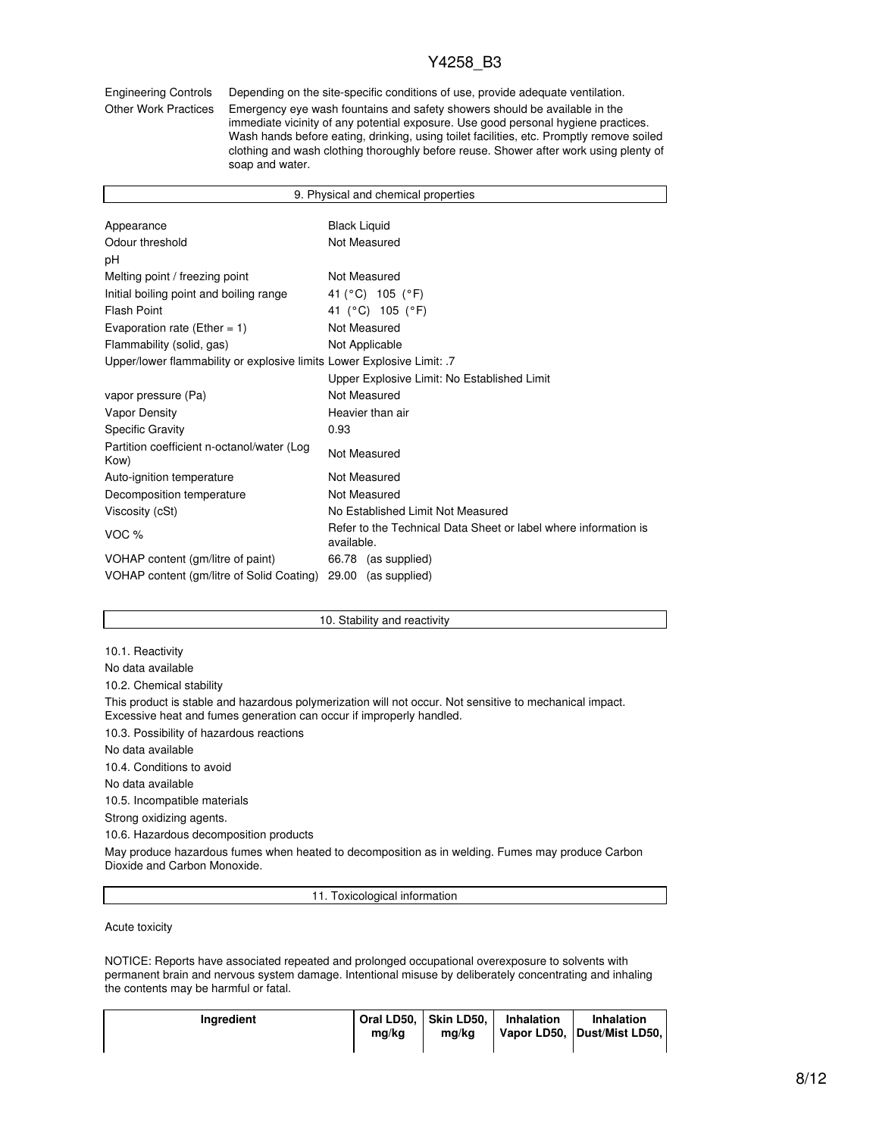Engineering Controls Depending on the site-specific conditions of use, provide adequate ventilation.

Other Work Practices Emergency eye wash fountains and safety showers should be available in the immediate vicinity of any potential exposure. Use good personal hygiene practices. Wash hands before eating, drinking, using toilet facilities, etc. Promptly remove soiled clothing and wash clothing thoroughly before reuse. Shower after work using plenty of soap and water.

| 9. Physical and chemical properties                                    |                                                                               |  |  |
|------------------------------------------------------------------------|-------------------------------------------------------------------------------|--|--|
|                                                                        |                                                                               |  |  |
| Appearance                                                             | <b>Black Liquid</b>                                                           |  |  |
| Odour threshold                                                        | Not Measured                                                                  |  |  |
| рH                                                                     |                                                                               |  |  |
| Melting point / freezing point                                         | Not Measured                                                                  |  |  |
| Initial boiling point and boiling range                                | 41 (°C) 105 (°F)                                                              |  |  |
| <b>Flash Point</b>                                                     | 41 (°C) 105 (°F)                                                              |  |  |
| Evaporation rate (Ether = $1$ )                                        | Not Measured                                                                  |  |  |
| Flammability (solid, gas)                                              | Not Applicable                                                                |  |  |
| Upper/lower flammability or explosive limits Lower Explosive Limit: .7 |                                                                               |  |  |
|                                                                        | Upper Explosive Limit: No Established Limit                                   |  |  |
| vapor pressure (Pa)                                                    | Not Measured                                                                  |  |  |
| <b>Vapor Density</b>                                                   | Heavier than air                                                              |  |  |
| <b>Specific Gravity</b>                                                | 0.93                                                                          |  |  |
| Partition coefficient n-octanol/water (Log<br>Kow)                     | Not Measured                                                                  |  |  |
| Auto-ignition temperature                                              | Not Measured                                                                  |  |  |
| Decomposition temperature                                              | Not Measured                                                                  |  |  |
| Viscosity (cSt)                                                        | No Established Limit Not Measured                                             |  |  |
| VOC <sub>%</sub>                                                       | Refer to the Technical Data Sheet or label where information is<br>available. |  |  |
| VOHAP content (gm/litre of paint)                                      | 66.78 (as supplied)                                                           |  |  |
| VOHAP content (gm/litre of Solid Coating)                              | 29.00<br>(as supplied)                                                        |  |  |

#### 10. Stability and reactivity

10.1. Reactivity

No data available

10.2. Chemical stability

This product is stable and hazardous polymerization will not occur. Not sensitive to mechanical impact. Excessive heat and fumes generation can occur if improperly handled.

10.3. Possibility of hazardous reactions

No data available

10.4. Conditions to avoid

No data available

10.5. Incompatible materials

Strong oxidizing agents.

10.6. Hazardous decomposition products

May produce hazardous fumes when heated to decomposition as in welding. Fumes may produce Carbon Dioxide and Carbon Monoxide.

11. Toxicological information

Acute toxicity

NOTICE: Reports have associated repeated and prolonged occupational overexposure to solvents with permanent brain and nervous system damage. Intentional misuse by deliberately concentrating and inhaling the contents may be harmful or fatal.

| <b>Ingredient</b> | mg/kg | Oral LD50. Skin LD50.<br>ma/ka | Inhalation | <b>Inhalation</b><br>Vapor LD50, Dust/Mist LD50, |
|-------------------|-------|--------------------------------|------------|--------------------------------------------------|
|-------------------|-------|--------------------------------|------------|--------------------------------------------------|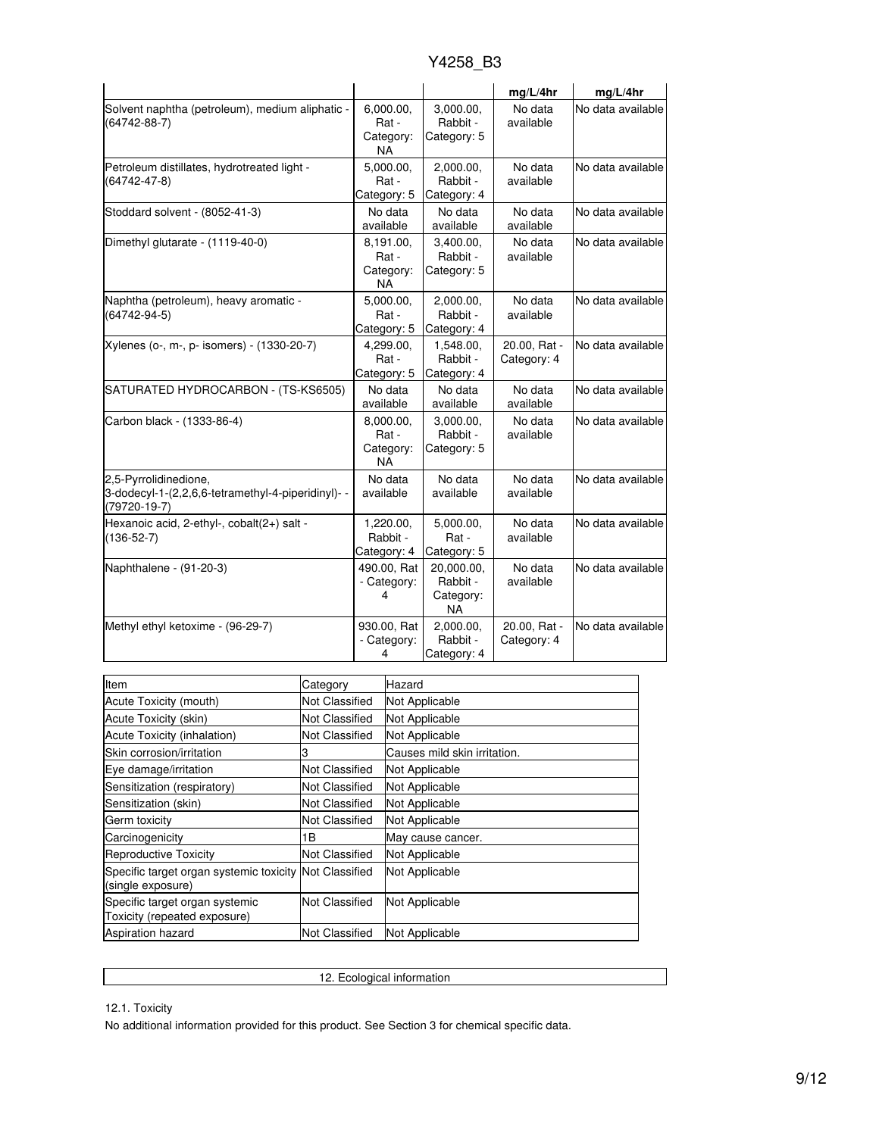|                                                                                                   |                                              |                                                  | mq/L/4hr                    | mg/L/4hr          |
|---------------------------------------------------------------------------------------------------|----------------------------------------------|--------------------------------------------------|-----------------------------|-------------------|
| Solvent naphtha (petroleum), medium aliphatic -<br>(64742-88-7)                                   | 6,000.00,<br>Rat -<br>Category:<br><b>NA</b> | 3,000.00,<br>Rabbit -<br>Category: 5             | No data<br>available        | No data available |
| Petroleum distillates, hydrotreated light -<br>(64742-47-8)                                       | 5,000.00,<br>Rat -<br>Category: 5            | 2,000.00,<br>Rabbit -<br>Category: 4             | No data<br>available        | No data available |
| Stoddard solvent - (8052-41-3)                                                                    | No data<br>available                         | No data<br>available                             | No data<br>available        | No data available |
| Dimethyl glutarate - (1119-40-0)                                                                  | 8,191.00,<br>Rat -<br>Category:<br>ΝA        | 3,400.00.<br>Rabbit -<br>Category: 5             | No data<br>available        | No data available |
| Naphtha (petroleum), heavy aromatic -<br>$(64742 - 94 - 5)$                                       | 5,000.00,<br>Rat -<br>Category: 5            | 2,000.00,<br>Rabbit -<br>Category: 4             | No data<br>available        | No data available |
| Xylenes (o-, m-, p- isomers) - (1330-20-7)                                                        | 4,299.00,<br>Rat -<br>Category: 5            | 1,548.00,<br>Rabbit -<br>Category: 4             | 20.00, Rat -<br>Category: 4 | No data available |
| SATURATED HYDROCARBON - (TS-KS6505)                                                               | No data<br>available                         | No data<br>available                             | No data<br>available        | No data available |
| Carbon black - (1333-86-4)                                                                        | 8,000.00,<br>Rat -<br>Category:<br>ΝA        | 3,000.00,<br>Rabbit -<br>Category: 5             | No data<br>available        | No data available |
| 2,5-Pyrrolidinedione,<br>3-dodecyl-1-(2,2,6,6-tetramethyl-4-piperidinyl)- -<br>$(79720 - 19 - 7)$ | No data<br>available                         | No data<br>available                             | No data<br>available        | No data available |
| Hexanoic acid, 2-ethyl-, cobalt(2+) salt -<br>$(136 - 52 - 7)$                                    | 1,220.00,<br>Rabbit -<br>Category: 4         | 5,000.00,<br>Rat -<br>Category: 5                | No data<br>available        | No data available |
| Naphthalene - (91-20-3)                                                                           | 490.00, Rat<br>- Category:<br>4              | 20,000.00,<br>Rabbit -<br>Category:<br><b>NA</b> | No data<br>available        | No data available |
| Methyl ethyl ketoxime - (96-29-7)                                                                 | 930.00, Rat<br>- Category:<br>4              | 2,000.00,<br>Rabbit -<br>Category: 4             | 20.00, Rat -<br>Category: 4 | No data available |

| Item                                                                        | Category              | Hazard                       |
|-----------------------------------------------------------------------------|-----------------------|------------------------------|
| Acute Toxicity (mouth)                                                      | Not Classified        | Not Applicable               |
| Acute Toxicity (skin)                                                       | Not Classified        | Not Applicable               |
| <b>Acute Toxicity (inhalation)</b>                                          | Not Classified        | Not Applicable               |
| Skin corrosion/irritation                                                   | З                     | Causes mild skin irritation. |
| Eye damage/irritation                                                       | <b>Not Classified</b> | Not Applicable               |
| Sensitization (respiratory)                                                 | Not Classified        | Not Applicable               |
| Sensitization (skin)                                                        | Not Classified        | Not Applicable               |
| Germ toxicity                                                               | Not Classified        | Not Applicable               |
| Carcinogenicity                                                             | 1В                    | May cause cancer.            |
| <b>Reproductive Toxicity</b>                                                | <b>Not Classified</b> | Not Applicable               |
| Specific target organ systemic toxicity Not Classified<br>(single exposure) |                       | Not Applicable               |
| Specific target organ systemic<br>Toxicity (repeated exposure)              | Not Classified        | Not Applicable               |
| <b>Aspiration hazard</b>                                                    | Not Classified        | Not Applicable               |

12. Ecological information

12.1. Toxicity

No additional information provided for this product. See Section 3 for chemical specific data.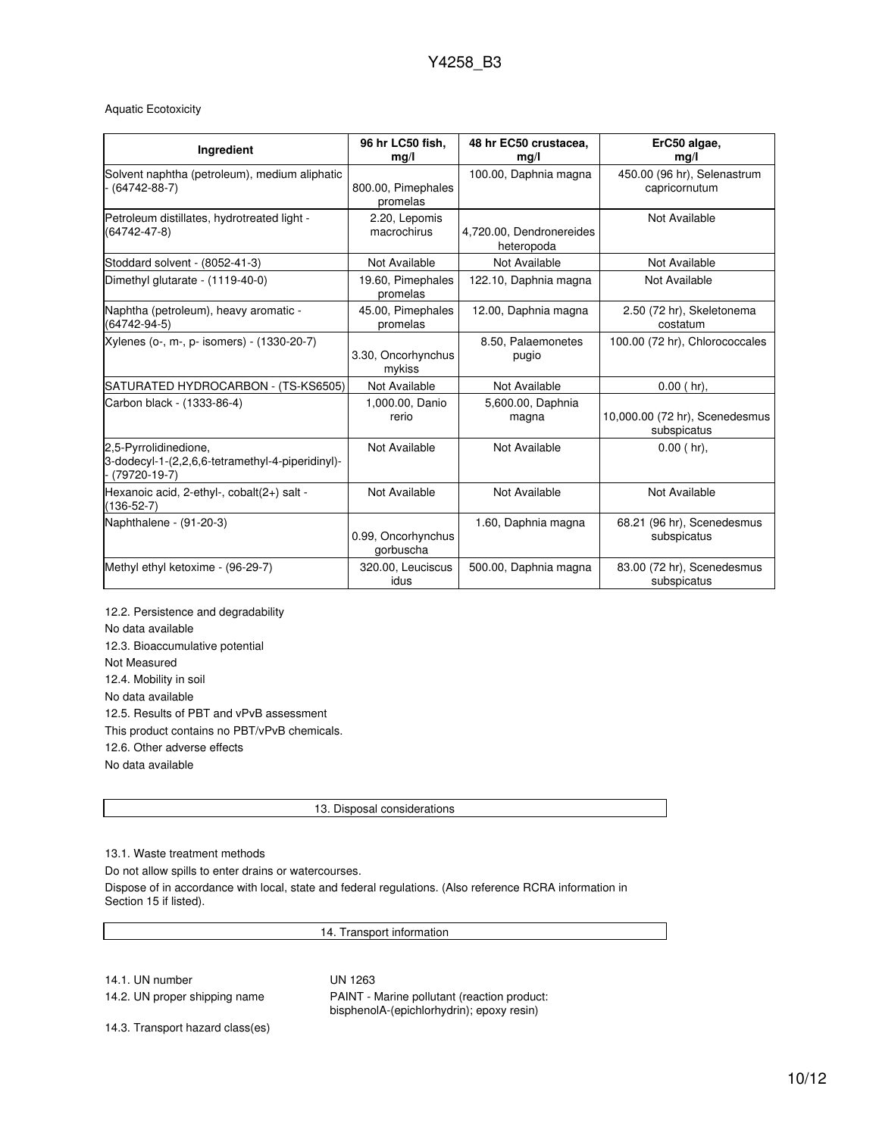### Aquatic Ecotoxicity

| Ingredient                                                                                  | 96 hr LC50 fish.<br>mg/l        | 48 hr EC50 crustacea,<br>mg/l          | ErC50 algae,<br>mg/l                          |
|---------------------------------------------------------------------------------------------|---------------------------------|----------------------------------------|-----------------------------------------------|
| Solvent naphtha (petroleum), medium aliphatic<br>$(64742 - 88 - 7)$                         | 800.00, Pimephales<br>promelas  | 100.00, Daphnia magna                  | 450.00 (96 hr), Selenastrum<br>capricornutum  |
| Petroleum distillates, hydrotreated light -<br>(64742-47-8)                                 | 2.20, Lepomis<br>macrochirus    | 4,720.00, Dendronereides<br>heteropoda | Not Available                                 |
| Stoddard solvent - (8052-41-3)                                                              | Not Available                   | Not Available                          | Not Available                                 |
| Dimethyl glutarate - (1119-40-0)                                                            | 19.60, Pimephales<br>promelas   | 122.10, Daphnia magna                  | Not Available                                 |
| Naphtha (petroleum), heavy aromatic -<br>(64742-94-5)                                       | 45.00, Pimephales<br>promelas   | 12.00, Daphnia magna                   | 2.50 (72 hr), Skeletonema<br>costatum         |
| Xylenes (o-, m-, p- isomers) - (1330-20-7)                                                  | 3.30, Oncorhynchus<br>mykiss    | 8.50, Palaemonetes<br>pugio            | 100.00 (72 hr), Chlorococcales                |
| SATURATED HYDROCARBON - (TS-KS6505)                                                         | Not Available                   | Not Available                          | $0.00$ (hr),                                  |
| Carbon black - (1333-86-4)                                                                  | 1,000.00, Danio<br>rerio        | 5,600.00, Daphnia<br>magna             | 10,000.00 (72 hr), Scenedesmus<br>subspicatus |
| 2,5-Pyrrolidinedione,<br>3-dodecyl-1-(2,2,6,6-tetramethyl-4-piperidinyl)-<br>$(79720-19-7)$ | Not Available                   | Not Available                          | $0.00$ (hr),                                  |
| Hexanoic acid, 2-ethyl-, cobalt(2+) salt -<br>$(136-52-7)$                                  | Not Available                   | Not Available                          | Not Available                                 |
| Naphthalene - (91-20-3)                                                                     | 0.99, Oncorhynchus<br>gorbuscha | 1.60, Daphnia magna                    | 68.21 (96 hr), Scenedesmus<br>subspicatus     |
| Methyl ethyl ketoxime - (96-29-7)                                                           | 320.00, Leuciscus<br>idus       | 500.00, Daphnia magna                  | 83.00 (72 hr), Scenedesmus<br>subspicatus     |

12.2. Persistence and degradability No data available 12.3. Bioaccumulative potential Not Measured 12.4. Mobility in soil No data available 12.5. Results of PBT and vPvB assessment This product contains no PBT/vPvB chemicals. 12.6. Other adverse effects No data available

13. Disposal considerations

13.1. Waste treatment methods

Do not allow spills to enter drains or watercourses.

Dispose of in accordance with local, state and federal regulations. (Also reference RCRA information in Section 15 if listed).

14. Transport information

14.1. UN number UN 1263

14.2. UN proper shipping name **PAINT** - Marine pollutant (reaction product: bisphenolA-(epichlorhydrin); epoxy resin)

14.3. Transport hazard class(es)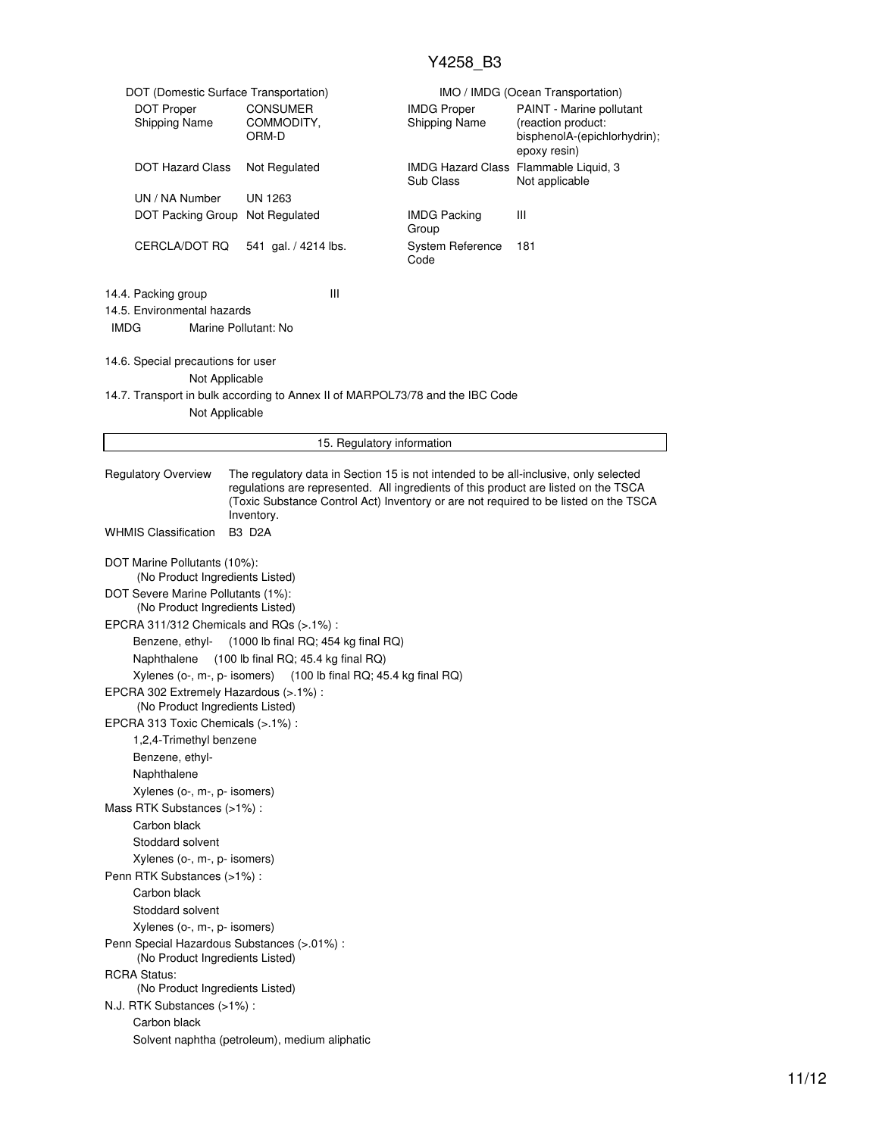| DOT (Domestic Surface Transportation)                                          |                                                                       |                                                                               | IMO / IMDG (Ocean Transportation)                                                                                                                                                                                                                                   |  |  |  |
|--------------------------------------------------------------------------------|-----------------------------------------------------------------------|-------------------------------------------------------------------------------|---------------------------------------------------------------------------------------------------------------------------------------------------------------------------------------------------------------------------------------------------------------------|--|--|--|
| <b>DOT Proper</b><br>Shipping Name                                             | <b>CONSUMER</b><br>COMMODITY,<br>ORM-D                                | <b>IMDG Proper</b><br>Shipping Name                                           | PAINT - Marine pollutant<br>(reaction product:<br>bisphenolA-(epichlorhydrin);<br>epoxy resin)                                                                                                                                                                      |  |  |  |
| <b>DOT Hazard Class</b>                                                        | Not Regulated                                                         | Sub Class                                                                     | IMDG Hazard Class Flammable Liquid, 3<br>Not applicable                                                                                                                                                                                                             |  |  |  |
| UN / NA Number                                                                 | UN 1263                                                               |                                                                               |                                                                                                                                                                                                                                                                     |  |  |  |
| DOT Packing Group                                                              | Not Regulated                                                         | <b>IMDG Packing</b><br>Group                                                  | Ш                                                                                                                                                                                                                                                                   |  |  |  |
| CERCLA/DOT RQ                                                                  | 541 gal. / 4214 lbs.                                                  | System Reference<br>Code                                                      | 181                                                                                                                                                                                                                                                                 |  |  |  |
| 14.4. Packing group                                                            | Ш                                                                     |                                                                               |                                                                                                                                                                                                                                                                     |  |  |  |
| 14.5. Environmental hazards                                                    |                                                                       |                                                                               |                                                                                                                                                                                                                                                                     |  |  |  |
| <b>IMDG</b>                                                                    | Marine Pollutant: No                                                  |                                                                               |                                                                                                                                                                                                                                                                     |  |  |  |
| 14.6. Special precautions for user                                             |                                                                       |                                                                               |                                                                                                                                                                                                                                                                     |  |  |  |
| Not Applicable                                                                 |                                                                       |                                                                               |                                                                                                                                                                                                                                                                     |  |  |  |
| Not Applicable                                                                 |                                                                       | 14.7. Transport in bulk according to Annex II of MARPOL73/78 and the IBC Code |                                                                                                                                                                                                                                                                     |  |  |  |
|                                                                                |                                                                       | 15. Regulatory information                                                    |                                                                                                                                                                                                                                                                     |  |  |  |
|                                                                                |                                                                       |                                                                               |                                                                                                                                                                                                                                                                     |  |  |  |
| <b>Regulatory Overview</b>                                                     | Inventory.                                                            |                                                                               | The regulatory data in Section 15 is not intended to be all-inclusive, only selected<br>regulations are represented. All ingredients of this product are listed on the TSCA<br>(Toxic Substance Control Act) Inventory or are not required to be listed on the TSCA |  |  |  |
| <b>WHMIS Classification</b>                                                    | <b>B3 D2A</b>                                                         |                                                                               |                                                                                                                                                                                                                                                                     |  |  |  |
| DOT Marine Pollutants (10%):<br>(No Product Ingredients Listed)                |                                                                       |                                                                               |                                                                                                                                                                                                                                                                     |  |  |  |
|                                                                                | DOT Severe Marine Pollutants (1%):<br>(No Product Ingredients Listed) |                                                                               |                                                                                                                                                                                                                                                                     |  |  |  |
| EPCRA 311/312 Chemicals and RQs (>.1%):                                        |                                                                       |                                                                               |                                                                                                                                                                                                                                                                     |  |  |  |
|                                                                                | Benzene, ethyl- (1000 lb final RQ; 454 kg final RQ)                   |                                                                               |                                                                                                                                                                                                                                                                     |  |  |  |
| Naphthalene                                                                    | $(100$ lb final RQ; 45.4 kg final RQ)                                 |                                                                               |                                                                                                                                                                                                                                                                     |  |  |  |
|                                                                                | Xylenes (o-, m-, p- isomers) (100 lb final RQ; 45.4 kg final RQ)      |                                                                               |                                                                                                                                                                                                                                                                     |  |  |  |
| EPCRA 302 Extremely Hazardous (>.1%) :<br>(No Product Ingredients Listed)      |                                                                       |                                                                               |                                                                                                                                                                                                                                                                     |  |  |  |
| EPCRA 313 Toxic Chemicals (>.1%) :                                             |                                                                       |                                                                               |                                                                                                                                                                                                                                                                     |  |  |  |
| 1,2,4-Trimethyl benzene                                                        |                                                                       |                                                                               |                                                                                                                                                                                                                                                                     |  |  |  |
| Benzene, ethyl-                                                                |                                                                       |                                                                               |                                                                                                                                                                                                                                                                     |  |  |  |
| Naphthalene                                                                    |                                                                       |                                                                               |                                                                                                                                                                                                                                                                     |  |  |  |
| Xylenes (o-, m-, p- isomers)                                                   |                                                                       |                                                                               |                                                                                                                                                                                                                                                                     |  |  |  |
| Mass RTK Substances (>1%):                                                     |                                                                       |                                                                               |                                                                                                                                                                                                                                                                     |  |  |  |
| Carbon black                                                                   |                                                                       |                                                                               |                                                                                                                                                                                                                                                                     |  |  |  |
| Stoddard solvent                                                               |                                                                       |                                                                               |                                                                                                                                                                                                                                                                     |  |  |  |
| Xylenes (o-, m-, p- isomers)                                                   |                                                                       |                                                                               |                                                                                                                                                                                                                                                                     |  |  |  |
| Penn RTK Substances (>1%) :                                                    |                                                                       |                                                                               |                                                                                                                                                                                                                                                                     |  |  |  |
| Carbon black                                                                   |                                                                       |                                                                               |                                                                                                                                                                                                                                                                     |  |  |  |
| Stoddard solvent                                                               |                                                                       |                                                                               |                                                                                                                                                                                                                                                                     |  |  |  |
| Xylenes (o-, m-, p- isomers)                                                   |                                                                       |                                                                               |                                                                                                                                                                                                                                                                     |  |  |  |
| Penn Special Hazardous Substances (>.01%) :<br>(No Product Ingredients Listed) |                                                                       |                                                                               |                                                                                                                                                                                                                                                                     |  |  |  |
| <b>RCRA Status:</b><br>(No Product Ingredients Listed)                         |                                                                       |                                                                               |                                                                                                                                                                                                                                                                     |  |  |  |
| N.J. RTK Substances (>1%):                                                     |                                                                       |                                                                               |                                                                                                                                                                                                                                                                     |  |  |  |
| Carbon black                                                                   |                                                                       |                                                                               |                                                                                                                                                                                                                                                                     |  |  |  |
| Solvent naphtha (petroleum), medium aliphatic                                  |                                                                       |                                                                               |                                                                                                                                                                                                                                                                     |  |  |  |